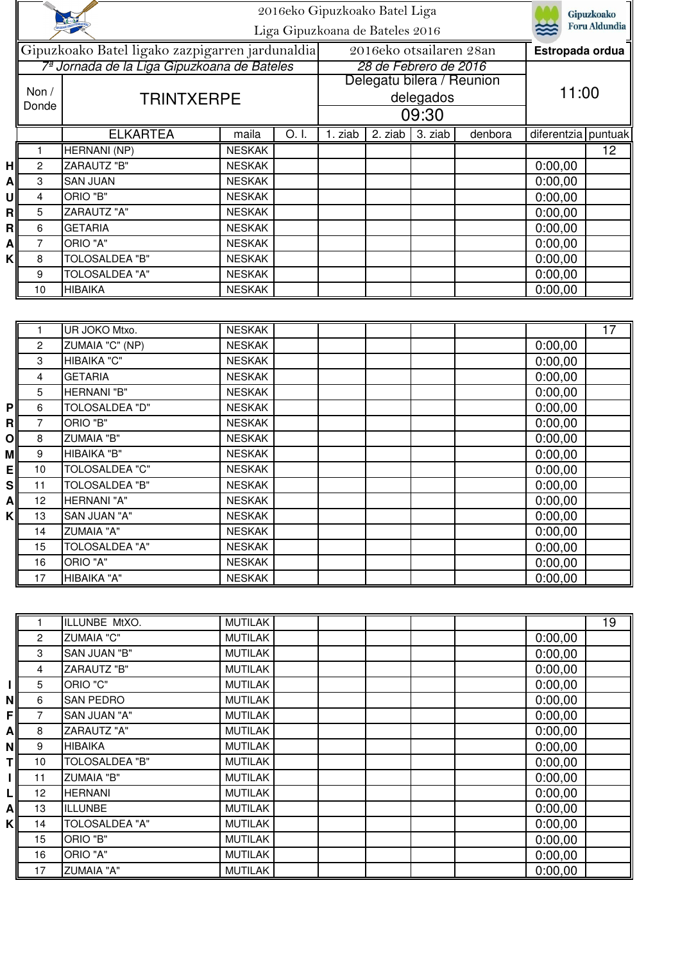|    | 2016eko Gipuzkoako Batel Liga                   |                                             |               |                     |                                        |                       | Gipuzkoako<br><b>Foru Aldundia</b> |         |                     |                 |
|----|-------------------------------------------------|---------------------------------------------|---------------|---------------------|----------------------------------------|-----------------------|------------------------------------|---------|---------------------|-----------------|
|    |                                                 | Liga Gipuzkoana de Bateles 2016             |               |                     |                                        |                       |                                    |         |                     |                 |
|    | Gipuzkoako Batel ligako zazpigarren jardunaldia |                                             |               |                     | 2016eko otsailaren 28an                |                       |                                    |         | Estropada ordua     |                 |
|    |                                                 | 7ª Jornada de la Liga Gipuzkoana de Bateles |               |                     |                                        | 28 de Febrero de 2016 |                                    |         |                     |                 |
|    |                                                 | <b>TRINTXERPE</b>                           |               |                     | Delegatu bilera / Reunion<br>delegados |                       |                                    |         |                     |                 |
|    | Non $/$                                         |                                             |               |                     |                                        |                       |                                    |         | 11:00               |                 |
|    | Donde                                           |                                             |               | 09:30               |                                        |                       |                                    |         |                     |                 |
|    |                                                 | <b>ELKARTEA</b>                             | maila         | $\overline{O}$ . I. | 1. ziab                                | 2. ziab               | 3. ziab                            | denbora | diferentzia puntuak |                 |
|    |                                                 | <b>HERNANI</b> (NP)                         | <b>NESKAK</b> |                     |                                        |                       |                                    |         |                     | 12              |
| H  | $\overline{2}$                                  | <b>ZARAUTZ "B"</b>                          | <b>NESKAK</b> |                     |                                        |                       |                                    |         | 0:00,00             |                 |
| A  | 3                                               | <b>SAN JUAN</b>                             | <b>NESKAK</b> |                     |                                        |                       |                                    |         | 0:00,00             |                 |
| Ul | 4                                               | ORIO "B"                                    | <b>NESKAK</b> |                     |                                        |                       |                                    |         | 0:00,00             |                 |
| R  | 5                                               | <b>ZARAUTZ "A"</b>                          | <b>NESKAK</b> |                     |                                        |                       |                                    |         | 0:00,00             |                 |
| R  | 6                                               | <b>GETARIA</b>                              | <b>NESKAK</b> |                     |                                        |                       |                                    |         | 0:00,00             |                 |
| A  | 7                                               | ORIO "A"                                    | <b>NESKAK</b> |                     |                                        |                       |                                    |         | 0:00,00             |                 |
| K  | 8                                               | <b>TOLOSALDEA "B"</b>                       | <b>NESKAK</b> |                     |                                        |                       |                                    |         | 0:00,00             |                 |
|    | 9                                               | <b>TOLOSALDEA "A"</b>                       | <b>NESKAK</b> |                     |                                        |                       |                                    |         | 0:00,00             |                 |
|    | 10                                              | <b>HIBAIKA</b>                              | <b>NESKAK</b> |                     |                                        |                       |                                    |         | 0:00,00             |                 |
|    |                                                 |                                             |               |                     |                                        |                       |                                    |         |                     |                 |
|    |                                                 | UR JOKO Mtxo.                               | <b>NESKAK</b> |                     |                                        |                       |                                    |         |                     | $\overline{17}$ |
|    | $\overline{c}$                                  | ZUMAIA "C" (NP)                             | <b>NESKAK</b> |                     |                                        |                       |                                    |         | 0:00,00             |                 |
|    | 3                                               | HIBAIKA "C"                                 | <b>NESKAK</b> |                     |                                        |                       |                                    |         | 0:00,00             |                 |
|    | 4                                               | <b>GETARIA</b>                              | <b>NESKAK</b> |                     |                                        |                       |                                    |         | 0:00,00             |                 |
|    | 5                                               | <b>HERNANI "B"</b>                          | <b>NESKAK</b> |                     |                                        |                       |                                    |         | 0:00,00             |                 |
| P  | 6                                               | <b>TOLOSALDEA "D"</b>                       | <b>NESKAK</b> |                     |                                        |                       |                                    |         | 0:00,00             |                 |
| RI | 7                                               | ORIO "B"                                    | <b>NESKAK</b> |                     |                                        |                       |                                    |         | 0:00,00             |                 |

| Οl        | 8  | <b>ZUMAIA "B"</b>     | <b>NESKAK</b> |  |  | 0:00,00 |  |
|-----------|----|-----------------------|---------------|--|--|---------|--|
| МI        | 9  | HIBAIKA "B"           | <b>NESKAK</b> |  |  | 0:00,00 |  |
| ΕI        | 10 | <b>TOLOSALDEA "C"</b> | <b>NESKAK</b> |  |  | 0:00,00 |  |
| <b>sl</b> | 11 | TOLOSALDEA "B"        | <b>NESKAK</b> |  |  | 0:00,00 |  |
| Αl        | 12 | HERNANI "A"           | <b>NESKAK</b> |  |  | 0:00,00 |  |
| KI        | 13 | <b>SAN JUAN "A"</b>   | <b>NESKAK</b> |  |  | 0:00,00 |  |
|           | 14 | <b>ZUMAIA "A"</b>     | <b>NESKAK</b> |  |  | 0:00,00 |  |
|           | 15 | <b>TOLOSALDEA "A"</b> | <b>NESKAK</b> |  |  | 0:00,00 |  |
|           | 16 | ORIO "A"              | <b>NESKAK</b> |  |  | 0:00,00 |  |
|           | 17 | HIBAIKA "A"           | <b>NESKAK</b> |  |  | 0:00,00 |  |
|           |    |                       |               |  |  |         |  |
|           |    |                       |               |  |  |         |  |

|          |              | ILLUNBE MtXO.         | <b>MUTILAK</b> |         | 19 |
|----------|--------------|-----------------------|----------------|---------|----|
|          | $\mathbf{2}$ | <b>ZUMAIA "C"</b>     | <b>MUTILAK</b> | 0:00,00 |    |
|          | 3            | SAN JUAN "B"          | <b>MUTILAK</b> | 0:00,00 |    |
|          | 4            | ZARAUTZ "B"           | <b>MUTILAK</b> | 0:00,00 |    |
|          | 5            | ORIO "C"              | <b>MUTILAK</b> | 0:00,00 |    |
| <b>N</b> | 6            | <b>SAN PEDRO</b>      | <b>MUTILAK</b> | 0:00,00 |    |
| FI       | 7            | SAN JUAN "A"          | <b>MUTILAK</b> | 0:00,00 |    |
| Al       | 8            | <b>ZARAUTZ "A"</b>    | <b>MUTILAK</b> | 0:00,00 |    |
| ΝI       | 9            | <b>HIBAIKA</b>        | <b>MUTILAK</b> | 0:00,00 |    |
| ΤI       | 10           | <b>TOLOSALDEA "B"</b> | <b>MUTILAK</b> | 0:00,00 |    |
|          | 11           | <b>ZUMAIA "B"</b>     | <b>MUTILAK</b> | 0:00,00 |    |
| ц        | 12           | <b>HERNANI</b>        | <b>MUTILAK</b> | 0:00,00 |    |
| Al       | 13           | <b>ILLUNBE</b>        | <b>MUTILAK</b> | 0:00,00 |    |
| K        | 14           | <b>TOLOSALDEA "A"</b> | <b>MUTILAK</b> | 0:00,00 |    |
|          | 15           | ORIO "B"              | <b>MUTILAK</b> | 0:00,00 |    |
|          | 16           | ORIO "A"              | <b>MUTILAK</b> | 0:00,00 |    |
|          | 17           | <b>ZUMAIA "A"</b>     | <b>MUTILAK</b> | 0:00,00 |    |